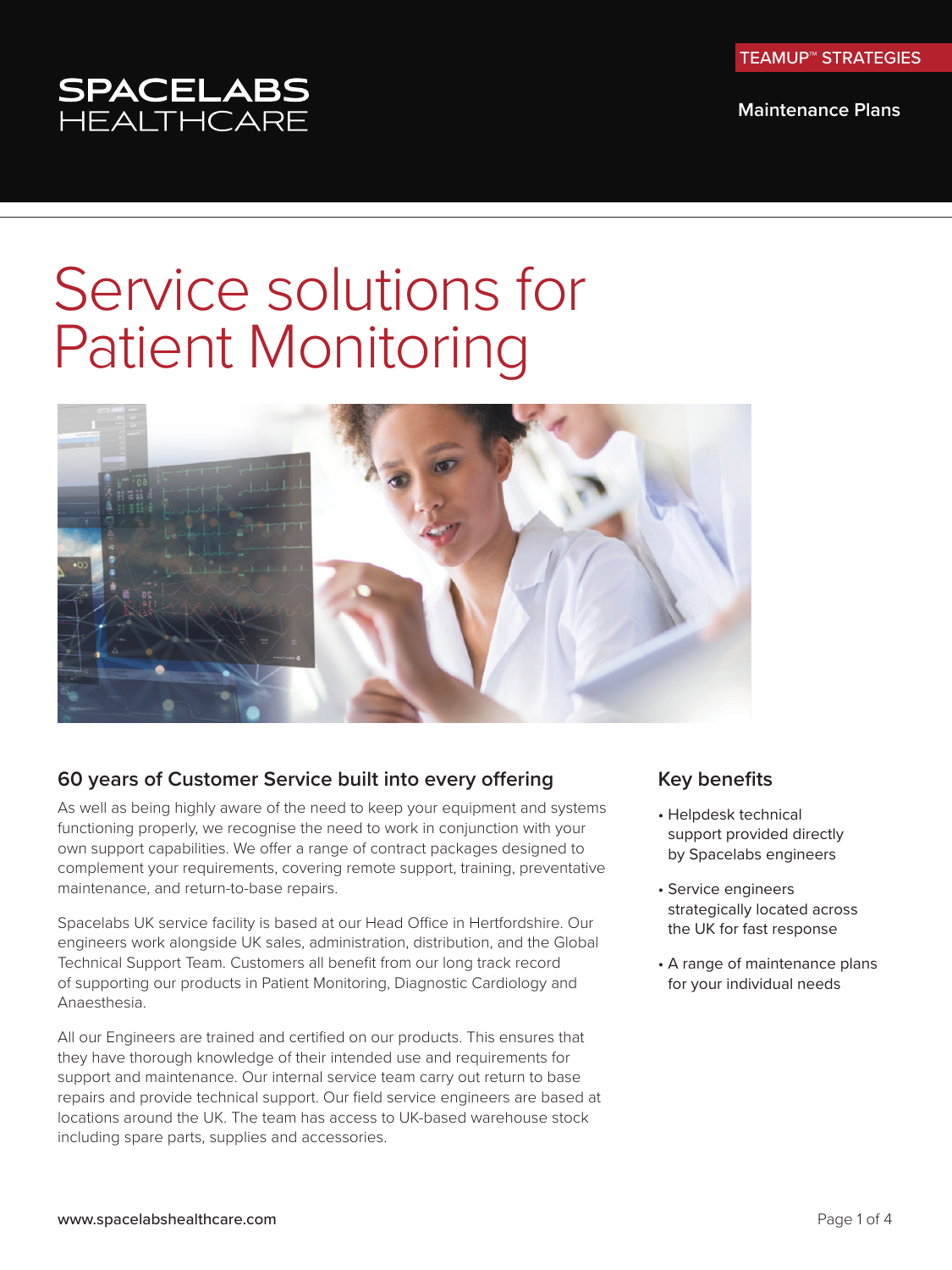TEAMUP™ STRATEGIES

**Maintenance Plans**

# SPACELABS<br>HEALTHCARE

## Service solutions for Patient Monitoring



## **60 years of Customer Service built into every offering**

As well as being highly aware of the need to keep your equipment and systems functioning properly, we recognise the need to work in conjunction with your own support capabilities. We offer a range of contract packages designed to complement your requirements, covering remote support, training, preventative maintenance, and return-to-base repairs.

Spacelabs UK service facility is based at our Head Office in Hertfordshire. Our engineers work alongside UK sales, administration, distribution, and the Global Technical Support Team. Customers all benefit from our long track record of supporting our products in Patient Monitoring, Diagnostic Cardiology and Anaesthesia.

All our Engineers are trained and certified on our products. This ensures that they have thorough knowledge of their intended use and requirements for support and maintenance. Our internal service team carry out return to base repairs and provide technical support. Our field service engineers are based at locations around the UK. The team has access to UK-based warehouse stock including spare parts, supplies and accessories.

### **Key benefits**

- Helpdesk technical support provided directly by Spacelabs engineers
- Service engineers strategically located across the UK for fast response
- A range of maintenance plans for your individual needs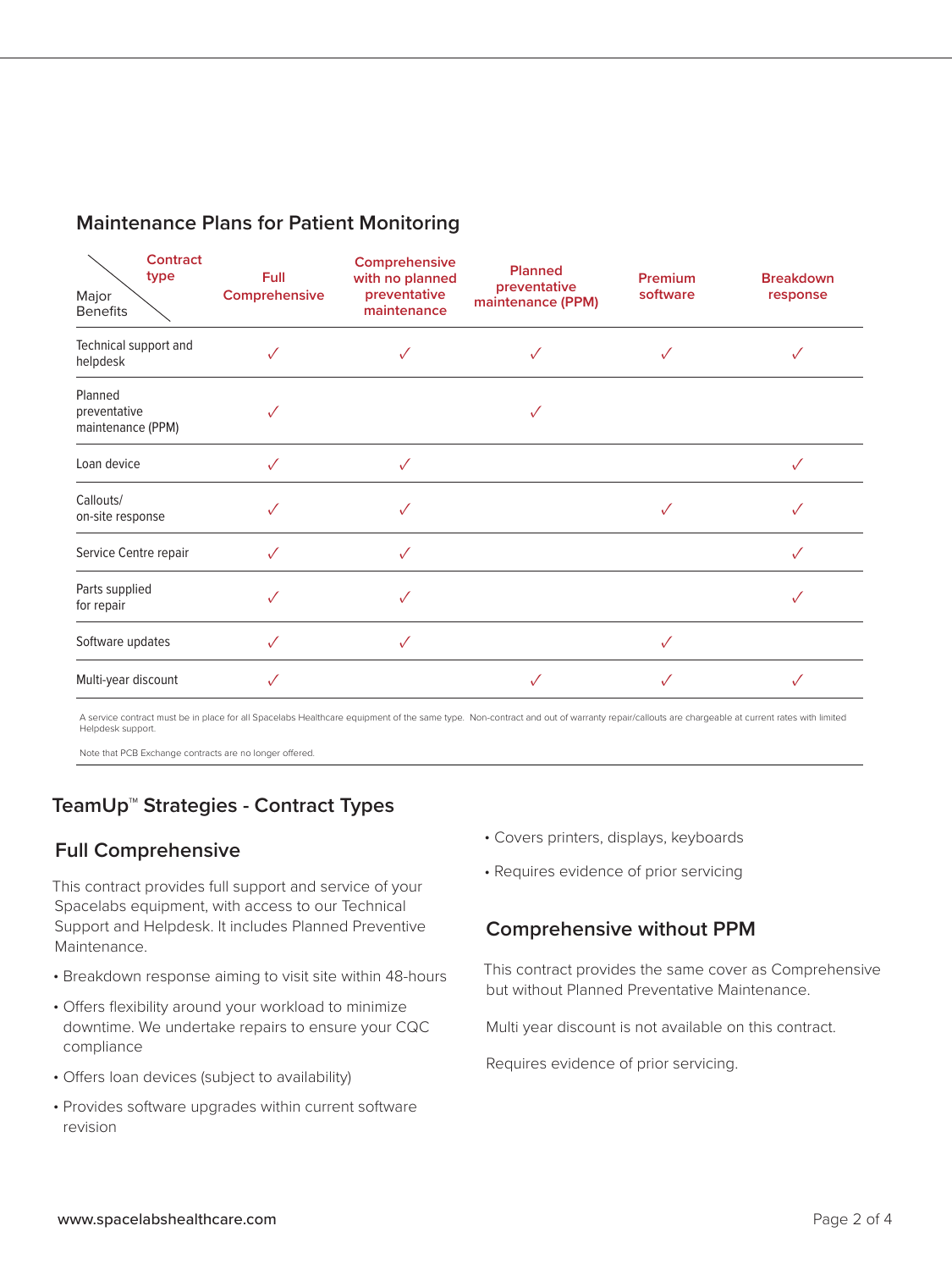| Contract<br>type<br>Major<br><b>Benefits</b> | Full<br>Comprehensive | Comprehensive<br>with no planned<br>preventative<br>maintenance | <b>Planned</b><br>preventative<br>maintenance (PPM) | Premium<br>software | <b>Breakdown</b><br>response |
|----------------------------------------------|-----------------------|-----------------------------------------------------------------|-----------------------------------------------------|---------------------|------------------------------|
| Technical support and<br>helpdesk            | $\checkmark$          |                                                                 |                                                     |                     |                              |
| Planned<br>preventative<br>maintenance (PPM) | $\checkmark$          |                                                                 |                                                     |                     |                              |
| Loan device                                  | $\checkmark$          | ✓                                                               |                                                     |                     | $\checkmark$                 |
| Callouts/<br>on-site response                |                       |                                                                 |                                                     |                     |                              |
| Service Centre repair                        | $\checkmark$          | ✓                                                               |                                                     |                     | $\checkmark$                 |
| Parts supplied<br>for repair                 | $\checkmark$          | ✓                                                               |                                                     |                     |                              |
| Software updates                             | $\checkmark$          | ✓                                                               |                                                     |                     |                              |
| Multi-year discount                          | ✓                     |                                                                 |                                                     |                     |                              |

A service contract must be in place for all Spacelabs Healthcare equipment of the same type. Non-contract and out of warranty repair/callouts are chargeable at current rates with limited Helpdesk support.

Note that PCB Exchange contracts are no longer offered.

## **TeamUp™ Strategies - Contract Types**

## **Full Comprehensive**

This contract provides full support and service of your Spacelabs equipment, with access to our Technical Support and Helpdesk. It includes Planned Preventive Maintenance.

- Breakdown response aiming to visit site within 48-hours
- Offers flexibility around your workload to minimize downtime. We undertake repairs to ensure your CQC compliance
- Offers loan devices (subject to availability)
- Provides software upgrades within current software revision
- Covers printers, displays, keyboards
- Requires evidence of prior servicing

### **Comprehensive without PPM**

This contract provides the same cover as Comprehensive but without Planned Preventative Maintenance.

Multi year discount is not available on this contract.

Requires evidence of prior servicing.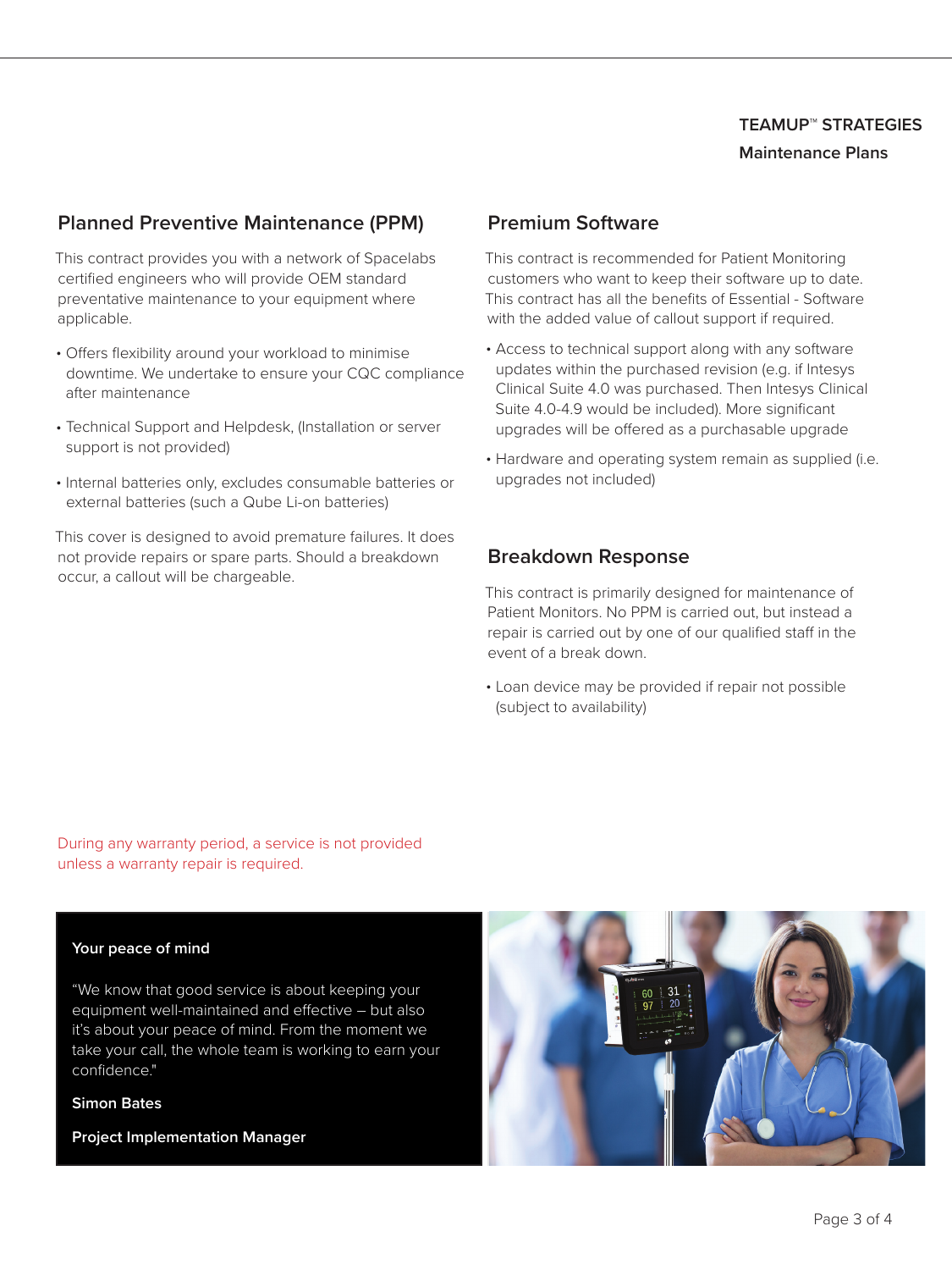## **TEAMUP**™ **STRATEGIES Maintenance Plans**

## **Planned Preventive Maintenance (PPM)**

This contract provides you with a network of Spacelabs certified engineers who will provide OEM standard preventative maintenance to your equipment where applicable.

- Offers flexibility around your workload to minimise downtime. We undertake to ensure your CQC compliance after maintenance
- Technical Support and Helpdesk, (Installation or server support is not provided)
- Internal batteries only, excludes consumable batteries or external batteries (such a Qube Li-on batteries)

This cover is designed to avoid premature failures. It does not provide repairs or spare parts. Should a breakdown occur, a callout will be chargeable.

## **Premium Software**

This contract is recommended for Patient Monitoring customers who want to keep their software up to date. This contract has all the benefits of Essential - Software with the added value of callout support if required.

- Access to technical support along with any software updates within the purchased revision (e.g. if Intesys Clinical Suite 4.0 was purchased. Then Intesys Clinical Suite 4.0-4.9 would be included). More significant upgrades will be offered as a purchasable upgrade
- Hardware and operating system remain as supplied (i.e. upgrades not included)

## **Breakdown Response**

This contract is primarily designed for maintenance of Patient Monitors. No PPM is carried out, but instead a repair is carried out by one of our qualified staff in the event of a break down.

• Loan device may be provided if repair not possible (subject to availability)

During any warranty period, a service is not provided unless a warranty repair is required.

#### **Your peace of mind**

"We know that good service is about keeping your equipment well-maintained and effective – but also it's about your peace of mind. From the moment we take your call, the whole team is working to earn your confidence."

#### **Simon Bates**

**Project Implementation Manager**